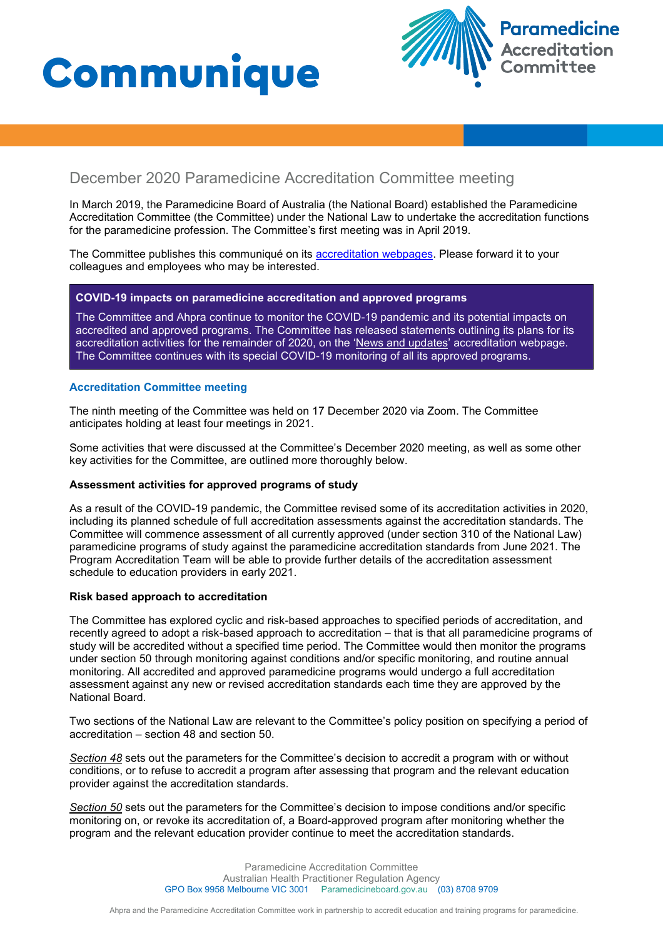# **Communique**



# December 2020 Paramedicine Accreditation Committee meeting

In March 2019, the Paramedicine Board of Australia (the National Board) established the Paramedicine Accreditation Committee (the Committee) under the National Law to undertake the accreditation functions for the paramedicine profession. The Committee's first meeting was in April 2019.

The Committee publishes this communiqué on its [accreditation webpages](https://www.paramedicineboard.gov.au/Accreditation.aspx). Please forward it to your colleagues and employees who may be interested.

## **COVID-19 impacts on paramedicine accreditation and approved programs**

The Committee and Ahpra continue to monitor the COVID-19 pandemic and its potential impacts on accredited and approved programs. The Committee has released statements outlining its plans for its accreditation activities for the remainder of 2020, on the ['News and updates'](https://www.paramedicineboard.gov.au/Accreditation/Updates.aspx) accreditation webpage. The Committee continues with its special COVID-19 monitoring of all its approved programs.

## **Accreditation Committee meeting**

The ninth meeting of the Committee was held on 17 December 2020 via Zoom. The Committee anticipates holding at least four meetings in 2021.

Some activities that were discussed at the Committee's December 2020 meeting, as well as some other key activities for the Committee, are outlined more thoroughly below.

#### **Assessment activities for approved programs of study**

As a result of the COVID-19 pandemic, the Committee revised some of its accreditation activities in 2020, including its planned schedule of full accreditation assessments against the accreditation standards. The Committee will commence assessment of all currently approved (under section 310 of the National Law) paramedicine programs of study against the paramedicine accreditation standards from June 2021. The Program Accreditation Team will be able to provide further details of the accreditation assessment schedule to education providers in early 2021.

#### **Risk based approach to accreditation**

The Committee has explored cyclic and risk-based approaches to specified periods of accreditation, and recently agreed to adopt a risk-based approach to accreditation – that is that all paramedicine programs of study will be accredited without a specified time period. The Committee would then monitor the programs under section 50 through monitoring against conditions and/or specific monitoring, and routine annual monitoring. All accredited and approved paramedicine programs would undergo a full accreditation assessment against any new or revised accreditation standards each time they are approved by the National Board.

Two sections of the National Law are relevant to the Committee's policy position on specifying a period of accreditation – section 48 and section 50.

*Section 48* sets out the parameters for the Committee's decision to accredit a program with or without conditions, or to refuse to accredit a program after assessing that program and the relevant education provider against the accreditation standards.

*Section 50* sets out the parameters for the Committee's decision to impose conditions and/or specific monitoring on, or revoke its accreditation of, a Board-approved program after monitoring whether the program and the relevant education provider continue to meet the accreditation standards.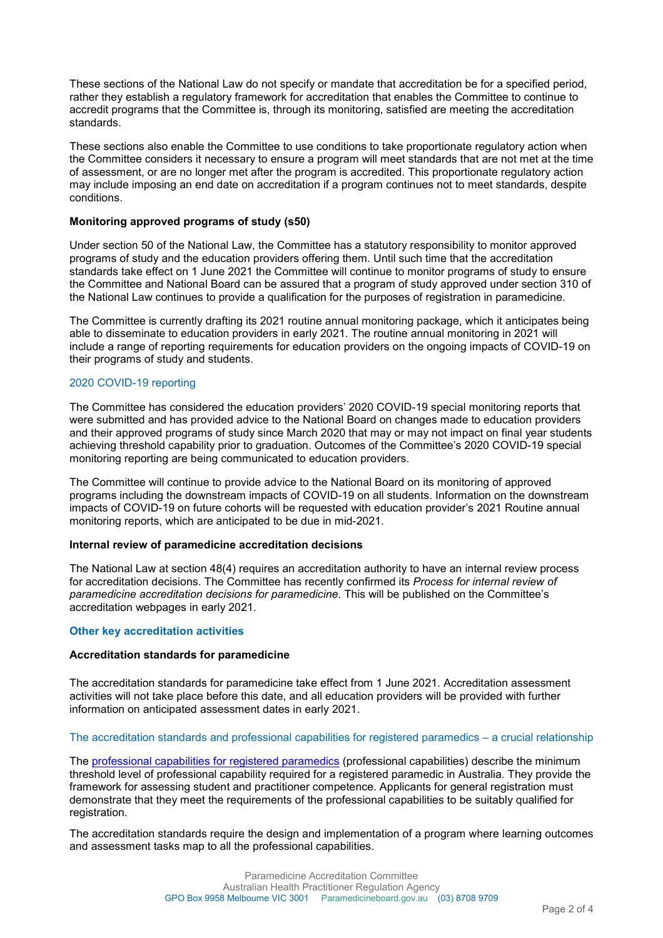These sections of the National Law do not specify or mandate that accreditation be for a specified period, rather they establish a regulatory framework for accreditation that enables the Committee to continue to accredit programs that the Committee is, through its monitoring, satisfied are meeting the accreditation standards.

These sections also enable the Committee to use conditions to take proportionate regulatory action when the Committee considers it necessary to ensure a program will meet standards that are not met at the time of assessment, or are no longer met after the program is accredited. This proportionate regulatory action may include imposing an end date on accreditation if a program continues not to meet standards, despite conditions.

# **Monitoring approved programs of study (s50)**

Under section 50 of the National Law, the Committee has a statutory responsibility to monitor approved programs of study and the education providers offering them. Until such time that the accreditation standards take effect on 1 June 2021 the Committee will continue to monitor programs of study to ensure the Committee and National Board can be assured that a program of study approved under section 310 of the National Law continues to provide a qualification for the purposes of registration in paramedicine.

The Committee is currently drafting its 2021 routine annual monitoring package, which it anticipates being able to disseminate to education providers in early 2021. The routine annual monitoring in 2021 will include a range of reporting requirements for education providers on the ongoing impacts of COVID-19 on their programs of study and students.

# 2020 COVID-19 reporting

The Committee has considered the education providers' 2020 COVID-19 special monitoring reports that were submitted and has provided advice to the National Board on changes made to education providers and their approved programs of study since March 2020 that may or may not impact on final year students achieving threshold capability prior to graduation. Outcomes of the Committee's 2020 COVID-19 special monitoring reporting are being communicated to education providers.

The Committee will continue to provide advice to the National Board on its monitoring of approved programs including the downstream impacts of COVID-19 on all students. Information on the downstream impacts of COVID-19 on future cohorts will be requested with education provider's 2021 Routine annual monitoring reports, which are anticipated to be due in mid-2021.

# **Internal review of paramedicine accreditation decisions**

The National Law at section 48(4) requires an accreditation authority to have an internal review process for accreditation decisions. The Committee has recently confirmed its *Process for internal review of paramedicine accreditation decisions for paramedicine*. This will be published on the Committee's accreditation webpages in early 2021.

# **Other key accreditation activities**

#### **Accreditation standards for paramedicine**

The accreditation standards for paramedicine take effect from 1 June 2021. Accreditation assessment activities will not take place before this date, and all education providers will be provided with further information on anticipated assessment dates in early 2021.

# The accreditation standards and professional capabilities for registered paramedics – a crucial relationship

The [professional capabilities for registered paramedics](https://www.paramedicineboard.gov.au/Professional-standards/Professional-capabilities-for-registered-paramedics.aspx) (professional capabilities) describe the minimum threshold level of professional capability required for a registered paramedic in Australia. They provide the framework for assessing student and practitioner competence. Applicants for general registration must demonstrate that they meet the requirements of the professional capabilities to be suitably qualified for registration.

The accreditation standards require the design and implementation of a program where learning outcomes and assessment tasks map to all the professional capabilities.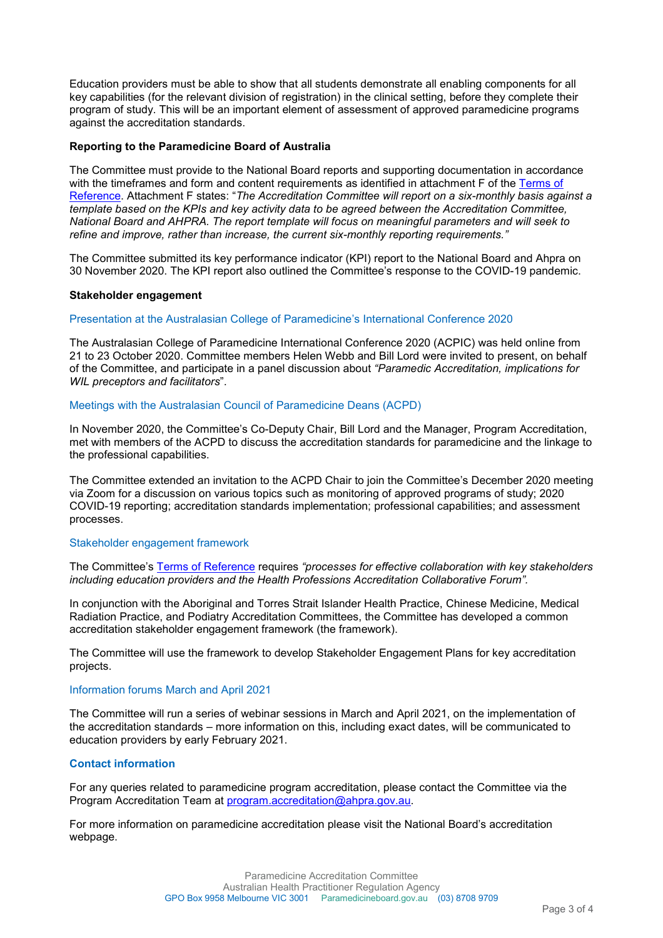Education providers must be able to show that all students demonstrate all enabling components for all key capabilities (for the relevant division of registration) in the clinical setting, before they complete their program of study. This will be an important element of assessment of approved paramedicine programs against the accreditation standards.

# **Reporting to the Paramedicine Board of Australia**

The Committee must provide to the National Board reports and supporting documentation in accordance with the timeframes and form and content requirements as identified in attachment F of the Terms of [Reference.](https://www.paramedicineboard.gov.au/Accreditation/Accreditation-Committee.aspx) Attachment F states: "*The Accreditation Committee will report on a six-monthly basis against a template based on the KPIs and key activity data to be agreed between the Accreditation Committee, National Board and AHPRA. The report template will focus on meaningful parameters and will seek to refine and improve, rather than increase, the current six-monthly reporting requirements."*

The Committee submitted its key performance indicator (KPI) report to the National Board and Ahpra on 30 November 2020. The KPI report also outlined the Committee's response to the COVID-19 pandemic.

#### **Stakeholder engagement**

#### Presentation at the Australasian College of Paramedicine's International Conference 2020

The Australasian College of Paramedicine International Conference 2020 (ACPIC) was held online from 21 to 23 October 2020. Committee members Helen Webb and Bill Lord were invited to present, on behalf of the Committee, and participate in a panel discussion about *"Paramedic Accreditation, implications for WIL preceptors and facilitators*".

#### Meetings with the Australasian Council of Paramedicine Deans (ACPD)

In November 2020, the Committee's Co-Deputy Chair, Bill Lord and the Manager, Program Accreditation, met with members of the ACPD to discuss the accreditation standards for paramedicine and the linkage to the professional capabilities.

The Committee extended an invitation to the ACPD Chair to join the Committee's December 2020 meeting via Zoom for a discussion on various topics such as monitoring of approved programs of study; 2020 COVID-19 reporting; accreditation standards implementation; professional capabilities; and assessment processes.

#### Stakeholder engagement framework

The Committee's [Terms of Reference](https://www.paramedicineboard.gov.au/Accreditation/Accreditation-Committee.aspx) requires *"processes for effective collaboration with key stakeholders including education providers and the Health Professions Accreditation Collaborative Forum".* 

In conjunction with the Aboriginal and Torres Strait Islander Health Practice, Chinese Medicine, Medical Radiation Practice, and Podiatry Accreditation Committees, the Committee has developed a common accreditation stakeholder engagement framework (the framework).

The Committee will use the framework to develop Stakeholder Engagement Plans for key accreditation projects.

#### Information forums March and April 2021

The Committee will run a series of webinar sessions in March and April 2021, on the implementation of the accreditation standards – more information on this, including exact dates, will be communicated to education providers by early February 2021.

#### **Contact information**

For any queries related to paramedicine program accreditation, please contact the Committee via the Program Accreditation Team at [program.accreditation@ahpra.gov.au.](mailto:program.accreditation@ahpra.gov.au)

For more information on paramedicine accreditation please visit the National Board's [accreditation](https://www.paramedicineboard.gov.au/Accreditation.aspx)  [webpage.](https://www.paramedicineboard.gov.au/Accreditation.aspx)